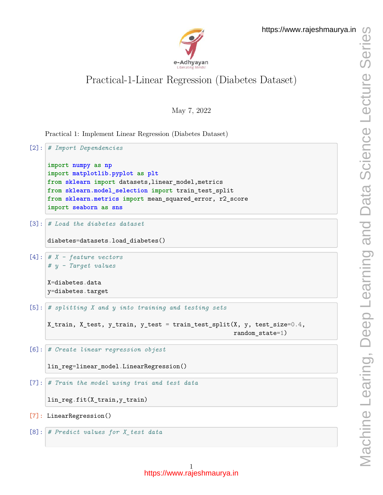

## Practical-1-Linear Regression (Diabetes Dataset)

May 7, 2022

Practical 1: Implement Linear Regression (Diabetes Dataset)

```
[2]: # Import Dependencies
     import numpy as np
     import matplotlib.pyplot as plt
     from sklearn import datasets,linear_model,metrics
     from sklearn.model_selection import train_test_split
     from sklearn.metrics import mean_squared_error, r2_score
     import seaborn as sns
[3]: # Load the diabetes dataset
     diabetes=datasets.load_diabetes()
[4]: # X - feature vectors
     # y - Target values
     X=diabetes.data
     y=diabetes.target
[5]: # splitting X and y into training and testing sets
     X_train, X_test, y_train, y_test = train_test_split(X, y, test_size=0.4,
                                                          random_state=1)
[6]: # Create linear regression objest
     lin_reg=linear_model.LinearRegression()
[7]: # Train the model using trai and test data
     lin_reg.fit(X_train,y_train)
[7]: LinearRegression()
```

```
[8]: # Predict values for X_test data
```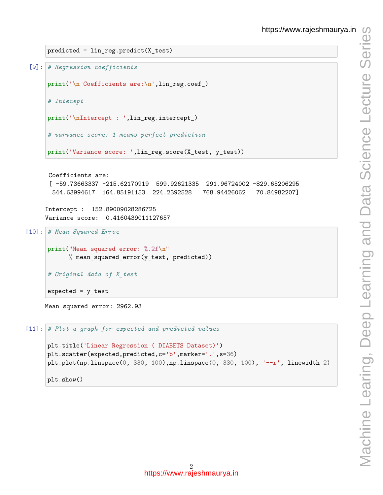```
https://www.rajeshmaurya.in
```

```
predicted = lin_reg.predict(X_test)
```

```
[9]: # Regression coefficients
```

```
print('\n Coefficients are:\n',lin_reg.coef_)
```
*# Intecept*

```
print('\nIntercept : ',lin_reg.intercept_)
```

```
# variance score: 1 means perfect prediction
```

```
print('Variance score: ',lin_reg.score(X_test, y_test))
```

```
Coefficients are:
```
[ -59.73663337 -215.62170919 599.92621335 291.96724002 -829.65206295 544.63994617 164.85191153 224.2392528 768.94426062 70.84982207]

Intercept : 152.89009028286725 Variance score: 0.4160439011127657

```
[10]: # Mean Squared Erroe
```

```
print("Mean squared error: %.2f\n"
      % mean_squared_error(y_test, predicted))
```

```
# Original data of X_test
```
 $expected = y_test$ 

Mean squared error: 2962.93

```
[11]: # Plot a graph for expected and predicted values
```

```
plt.title('Linear Regression ( DIABETS Dataset)')
plt.scatter(expected,predicted,c='b',marker='.',s=36)
plt.plot(np.linalg(0, 330, 100), np.linalg(0, 330, 100), '--r', linewidth=2)plt.show()
```